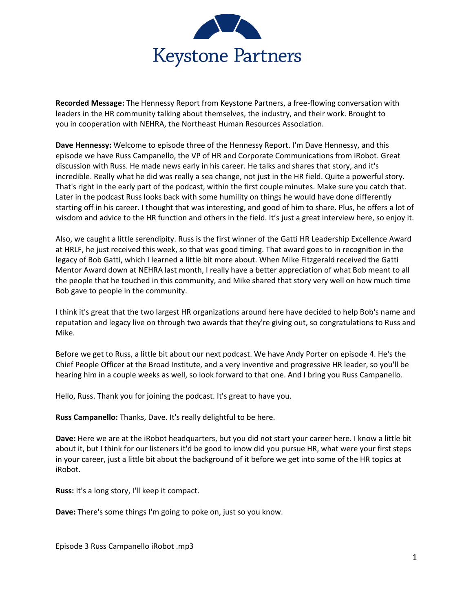

**Recorded Message:** The Hennessy Report from Keystone Partners, a free-flowing conversation with leaders in the HR community talking about themselves, the industry, and their work. Brought to you in cooperation with NEHRA, the Northeast Human Resources Association.

**Dave Hennessy:** Welcome to episode three of the Hennessy Report. I'm Dave Hennessy, and this episode we have Russ Campanello, the VP of HR and Corporate Communications from iRobot. Great discussion with Russ. He made news early in his career. He talks and shares that story, and it's incredible. Really what he did was really a sea change, not just in the HR field. Quite a powerful story. That's right in the early part of the podcast, within the first couple minutes. Make sure you catch that. Later in the podcast Russ looks back with some humility on things he would have done differently starting off in his career. I thought that was interesting, and good of him to share. Plus, he offers a lot of wisdom and advice to the HR function and others in the field. It's just a great interview here, so enjoy it.

Also, we caught a little serendipity. Russ is the first winner of the Gatti HR Leadership Excellence Award at HRLF, he just received this week, so that was good timing. That award goes to in recognition in the legacy of Bob Gatti, which I learned a little bit more about. When Mike Fitzgerald received the Gatti Mentor Award down at NEHRA last month, I really have a better appreciation of what Bob meant to all the people that he touched in this community, and Mike shared that story very well on how much time Bob gave to people in the community.

I think it's great that the two largest HR organizations around here have decided to help Bob's name and reputation and legacy live on through two awards that they're giving out, so congratulations to Russ and Mike.

Before we get to Russ, a little bit about our next podcast. We have Andy Porter on episode 4. He's the Chief People Officer at the Broad Institute, and a very inventive and progressive HR leader, so you'll be hearing him in a couple weeks as well, so look forward to that one. And I bring you Russ Campanello.

Hello, Russ. Thank you for joining the podcast. It's great to have you.

**Russ Campanello:** Thanks, Dave. It's really delightful to be here.

**Dave:** Here we are at the iRobot headquarters, but you did not start your career here. I know a little bit about it, but I think for our listeners it'd be good to know did you pursue HR, what were your first steps in your career, just a little bit about the background of it before we get into some of the HR topics at iRobot.

**Russ:** It's a long story, I'll keep it compact.

**Dave:** There's some things I'm going to poke on, just so you know.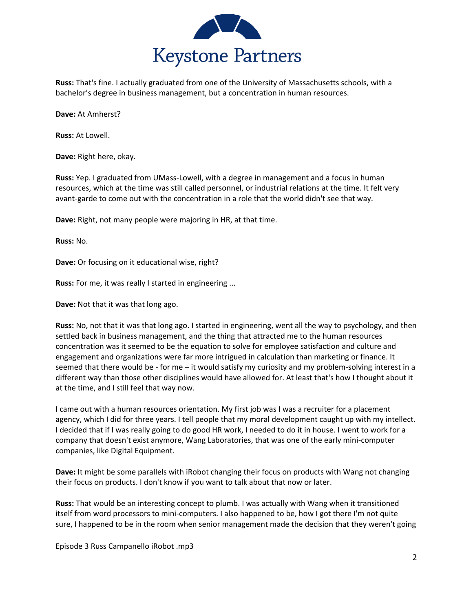

**Russ:** That's fine. I actually graduated from one of the University of Massachusetts schools, with a bachelor's degree in business management, but a concentration in human resources.

**Dave:** At Amherst?

**Russ:** At Lowell.

**Dave:** Right here, okay.

**Russ:** Yep. I graduated from UMass-Lowell, with a degree in management and a focus in human resources, which at the time was still called personnel, or industrial relations at the time. It felt very avant-garde to come out with the concentration in a role that the world didn't see that way.

**Dave:** Right, not many people were majoring in HR, at that time.

**Russ:** No.

**Dave:** Or focusing on it educational wise, right?

**Russ:** For me, it was really I started in engineering ...

**Dave:** Not that it was that long ago.

**Russ:** No, not that it was that long ago. I started in engineering, went all the way to psychology, and then settled back in business management, and the thing that attracted me to the human resources concentration was it seemed to be the equation to solve for employee satisfaction and culture and engagement and organizations were far more intrigued in calculation than marketing or finance. It seemed that there would be - for me – it would satisfy my curiosity and my problem-solving interest in a different way than those other disciplines would have allowed for. At least that's how I thought about it at the time, and I still feel that way now.

I came out with a human resources orientation. My first job was I was a recruiter for a placement agency, which I did for three years. I tell people that my moral development caught up with my intellect. I decided that if I was really going to do good HR work, I needed to do it in house. I went to work for a company that doesn't exist anymore, Wang Laboratories, that was one of the early mini-computer companies, like Digital Equipment.

**Dave:** It might be some parallels with iRobot changing their focus on products with Wang not changing their focus on products. I don't know if you want to talk about that now or later.

**Russ:** That would be an interesting concept to plumb. I was actually with Wang when it transitioned itself from word processors to mini-computers. I also happened to be, how I got there I'm not quite sure, I happened to be in the room when senior management made the decision that they weren't going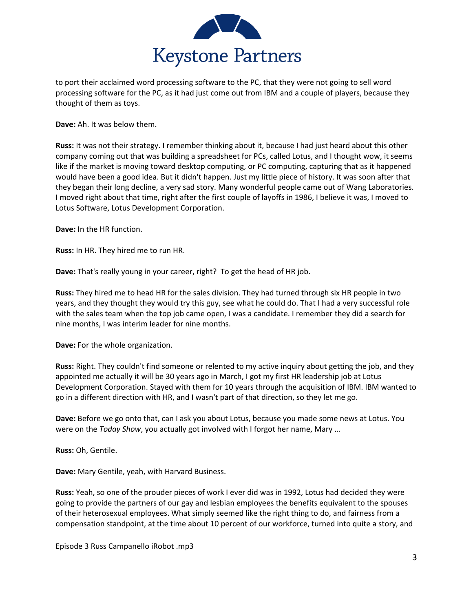

to port their acclaimed word processing software to the PC, that they were not going to sell word processing software for the PC, as it had just come out from IBM and a couple of players, because they thought of them as toys.

**Dave:** Ah. It was below them.

**Russ:** It was not their strategy. I remember thinking about it, because I had just heard about this other company coming out that was building a spreadsheet for PCs, called Lotus, and I thought wow, it seems like if the market is moving toward desktop computing, or PC computing, capturing that as it happened would have been a good idea. But it didn't happen. Just my little piece of history. It was soon after that they began their long decline, a very sad story. Many wonderful people came out of Wang Laboratories. I moved right about that time, right after the first couple of layoffs in 1986, I believe it was, I moved to Lotus Software, Lotus Development Corporation.

**Dave:** In the HR function.

**Russ:** In HR. They hired me to run HR.

**Dave:** That's really young in your career, right? To get the head of HR job.

**Russ:** They hired me to head HR for the sales division. They had turned through six HR people in two years, and they thought they would try this guy, see what he could do. That I had a very successful role with the sales team when the top job came open, I was a candidate. I remember they did a search for nine months, I was interim leader for nine months.

**Dave:** For the whole organization.

**Russ:** Right. They couldn't find someone or relented to my active inquiry about getting the job, and they appointed me actually it will be 30 years ago in March, I got my first HR leadership job at Lotus Development Corporation. Stayed with them for 10 years through the acquisition of IBM. IBM wanted to go in a different direction with HR, and I wasn't part of that direction, so they let me go.

**Dave:** Before we go onto that, can I ask you about Lotus, because you made some news at Lotus. You were on the *Today Show*, you actually got involved with I forgot her name, Mary ...

**Russ:** Oh, Gentile.

**Dave:** Mary Gentile, yeah, with Harvard Business.

**Russ:** Yeah, so one of the prouder pieces of work I ever did was in 1992, Lotus had decided they were going to provide the partners of our gay and lesbian employees the benefits equivalent to the spouses of their heterosexual employees. What simply seemed like the right thing to do, and fairness from a compensation standpoint, at the time about 10 percent of our workforce, turned into quite a story, and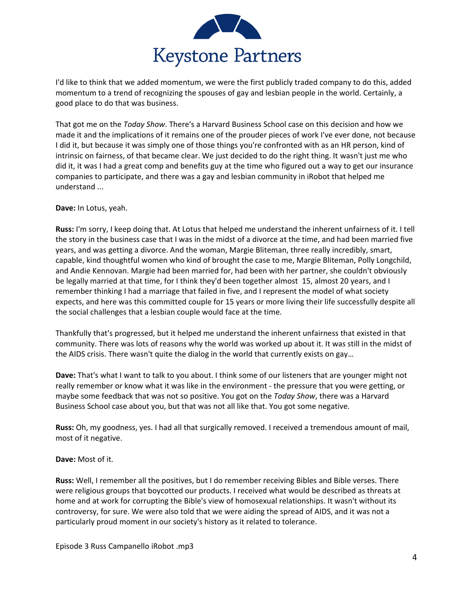

I'd like to think that we added momentum, we were the first publicly traded company to do this, added momentum to a trend of recognizing the spouses of gay and lesbian people in the world. Certainly, a good place to do that was business.

That got me on the *Today Show*. There's a Harvard Business School case on this decision and how we made it and the implications of it remains one of the prouder pieces of work I've ever done, not because I did it, but because it was simply one of those things you're confronted with as an HR person, kind of intrinsic on fairness, of that became clear. We just decided to do the right thing. It wasn't just me who did it, it was I had a great comp and benefits guy at the time who figured out a way to get our insurance companies to participate, and there was a gay and lesbian community in iRobot that helped me understand ...

**Dave:** In Lotus, yeah.

**Russ:** I'm sorry, I keep doing that. At Lotus that helped me understand the inherent unfairness of it. I tell the story in the business case that I was in the midst of a divorce at the time, and had been married five years, and was getting a divorce. And the woman, Margie Bliteman, three really incredibly, smart, capable, kind thoughtful women who kind of brought the case to me, Margie Bliteman, Polly Longchild, and Andie Kennovan. Margie had been married for, had been with her partner, she couldn't obviously be legally married at that time, for I think they'd been together almost 15, almost 20 years, and I remember thinking I had a marriage that failed in five, and I represent the model of what society expects, and here was this committed couple for 15 years or more living their life successfully despite all the social challenges that a lesbian couple would face at the time.

Thankfully that's progressed, but it helped me understand the inherent unfairness that existed in that community. There was lots of reasons why the world was worked up about it. It was still in the midst of the AIDS crisis. There wasn't quite the dialog in the world that currently exists on gay…

**Dave:** That's what I want to talk to you about. I think some of our listeners that are younger might not really remember or know what it was like in the environment - the pressure that you were getting, or maybe some feedback that was not so positive. You got on the *Today Show*, there was a Harvard Business School case about you, but that was not all like that. You got some negative.

**Russ:** Oh, my goodness, yes. I had all that surgically removed. I received a tremendous amount of mail, most of it negative.

## **Dave:** Most of it.

**Russ:** Well, I remember all the positives, but I do remember receiving Bibles and Bible verses. There were religious groups that boycotted our products. I received what would be described as threats at home and at work for corrupting the Bible's view of homosexual relationships. It wasn't without its controversy, for sure. We were also told that we were aiding the spread of AIDS, and it was not a particularly proud moment in our society's history as it related to tolerance.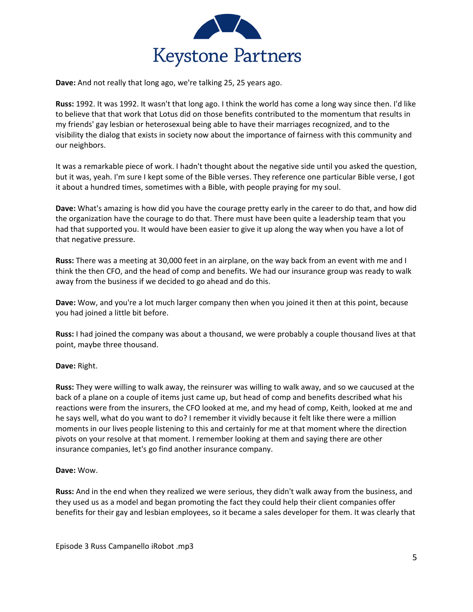

**Dave:** And not really that long ago, we're talking 25, 25 years ago.

**Russ:** 1992. It was 1992. It wasn't that long ago. I think the world has come a long way since then. I'd like to believe that that work that Lotus did on those benefits contributed to the momentum that results in my friends' gay lesbian or heterosexual being able to have their marriages recognized, and to the visibility the dialog that exists in society now about the importance of fairness with this community and our neighbors.

It was a remarkable piece of work. I hadn't thought about the negative side until you asked the question, but it was, yeah. I'm sure I kept some of the Bible verses. They reference one particular Bible verse, I got it about a hundred times, sometimes with a Bible, with people praying for my soul.

**Dave:** What's amazing is how did you have the courage pretty early in the career to do that, and how did the organization have the courage to do that. There must have been quite a leadership team that you had that supported you. It would have been easier to give it up along the way when you have a lot of that negative pressure.

**Russ:** There was a meeting at 30,000 feet in an airplane, on the way back from an event with me and I think the then CFO, and the head of comp and benefits. We had our insurance group was ready to walk away from the business if we decided to go ahead and do this.

**Dave:** Wow, and you're a lot much larger company then when you joined it then at this point, because you had joined a little bit before.

**Russ:** I had joined the company was about a thousand, we were probably a couple thousand lives at that point, maybe three thousand.

## **Dave:** Right.

**Russ:** They were willing to walk away, the reinsurer was willing to walk away, and so we caucused at the back of a plane on a couple of items just came up, but head of comp and benefits described what his reactions were from the insurers, the CFO looked at me, and my head of comp, Keith, looked at me and he says well, what do you want to do? I remember it vividly because it felt like there were a million moments in our lives people listening to this and certainly for me at that moment where the direction pivots on your resolve at that moment. I remember looking at them and saying there are other insurance companies, let's go find another insurance company.

## **Dave:** Wow.

**Russ:** And in the end when they realized we were serious, they didn't walk away from the business, and they used us as a model and began promoting the fact they could help their client companies offer benefits for their gay and lesbian employees, so it became a sales developer for them. It was clearly that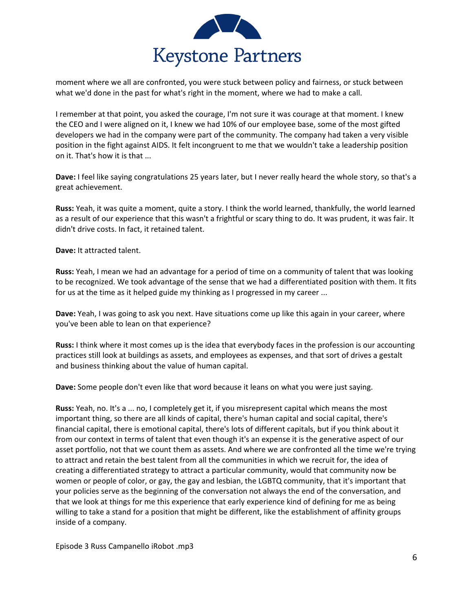

moment where we all are confronted, you were stuck between policy and fairness, or stuck between what we'd done in the past for what's right in the moment, where we had to make a call.

I remember at that point, you asked the courage, I'm not sure it was courage at that moment. I knew the CEO and I were aligned on it, I knew we had 10% of our employee base, some of the most gifted developers we had in the company were part of the community. The company had taken a very visible position in the fight against AIDS. It felt incongruent to me that we wouldn't take a leadership position on it. That's how it is that ...

**Dave:** I feel like saying congratulations 25 years later, but I never really heard the whole story, so that's a great achievement.

**Russ:** Yeah, it was quite a moment, quite a story. I think the world learned, thankfully, the world learned as a result of our experience that this wasn't a frightful or scary thing to do. It was prudent, it was fair. It didn't drive costs. In fact, it retained talent.

**Dave:** It attracted talent.

**Russ:** Yeah, I mean we had an advantage for a period of time on a community of talent that was looking to be recognized. We took advantage of the sense that we had a differentiated position with them. It fits for us at the time as it helped guide my thinking as I progressed in my career ...

**Dave:** Yeah, I was going to ask you next. Have situations come up like this again in your career, where you've been able to lean on that experience?

**Russ:** I think where it most comes up is the idea that everybody faces in the profession is our accounting practices still look at buildings as assets, and employees as expenses, and that sort of drives a gestalt and business thinking about the value of human capital.

**Dave:** Some people don't even like that word because it leans on what you were just saying.

**Russ:** Yeah, no. It's a ... no, I completely get it, if you misrepresent capital which means the most important thing, so there are all kinds of capital, there's human capital and social capital, there's financial capital, there is emotional capital, there's lots of different capitals, but if you think about it from our context in terms of talent that even though it's an expense it is the generative aspect of our asset portfolio, not that we count them as assets. And where we are confronted all the time we're trying to attract and retain the best talent from all the communities in which we recruit for, the idea of creating a differentiated strategy to attract a particular community, would that community now be women or people of color, or gay, the gay and lesbian, the LGBTQ community, that it's important that your policies serve as the beginning of the conversation not always the end of the conversation, and that we look at things for me this experience that early experience kind of defining for me as being willing to take a stand for a position that might be different, like the establishment of affinity groups inside of a company.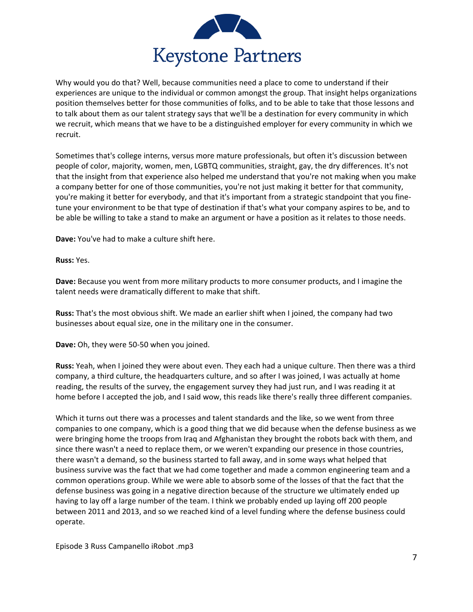

Why would you do that? Well, because communities need a place to come to understand if their experiences are unique to the individual or common amongst the group. That insight helps organizations position themselves better for those communities of folks, and to be able to take that those lessons and to talk about them as our talent strategy says that we'll be a destination for every community in which we recruit, which means that we have to be a distinguished employer for every community in which we recruit.

Sometimes that's college interns, versus more mature professionals, but often it's discussion between people of color, majority, women, men, LGBTQ communities, straight, gay, the dry differences. It's not that the insight from that experience also helped me understand that you're not making when you make a company better for one of those communities, you're not just making it better for that community, you're making it better for everybody, and that it's important from a strategic standpoint that you finetune your environment to be that type of destination if that's what your company aspires to be, and to be able be willing to take a stand to make an argument or have a position as it relates to those needs.

**Dave:** You've had to make a culture shift here.

**Russ:** Yes.

**Dave:** Because you went from more military products to more consumer products, and I imagine the talent needs were dramatically different to make that shift.

**Russ:** That's the most obvious shift. We made an earlier shift when I joined, the company had two businesses about equal size, one in the military one in the consumer.

**Dave:** Oh, they were 50-50 when you joined.

**Russ:** Yeah, when I joined they were about even. They each had a unique culture. Then there was a third company, a third culture, the headquarters culture, and so after I was joined, I was actually at home reading, the results of the survey, the engagement survey they had just run, and I was reading it at home before I accepted the job, and I said wow, this reads like there's really three different companies.

Which it turns out there was a processes and talent standards and the like, so we went from three companies to one company, which is a good thing that we did because when the defense business as we were bringing home the troops from Iraq and Afghanistan they brought the robots back with them, and since there wasn't a need to replace them, or we weren't expanding our presence in those countries, there wasn't a demand, so the business started to fall away, and in some ways what helped that business survive was the fact that we had come together and made a common engineering team and a common operations group. While we were able to absorb some of the losses of that the fact that the defense business was going in a negative direction because of the structure we ultimately ended up having to lay off a large number of the team. I think we probably ended up laying off 200 people between 2011 and 2013, and so we reached kind of a level funding where the defense business could operate.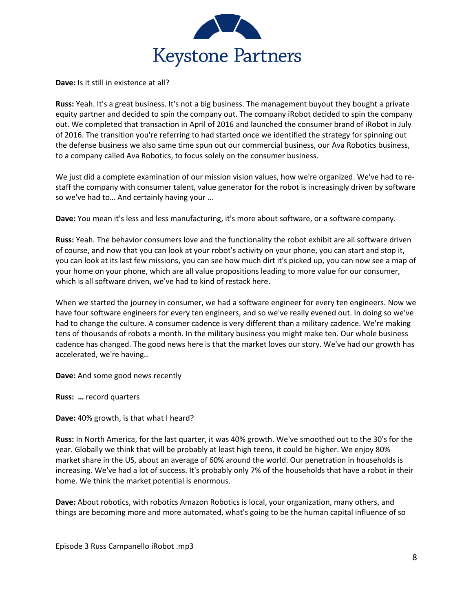

**Dave:** Is it still in existence at all?

**Russ:** Yeah. It's a great business. It's not a big business. The management buyout they bought a private equity partner and decided to spin the company out. The company iRobot decided to spin the company out. We completed that transaction in April of 2016 and launched the consumer brand of iRobot in July of 2016. The transition you're referring to had started once we identified the strategy for spinning out the defense business we also same time spun out our commercial business, our Ava Robotics business, to a company called Ava Robotics, to focus solely on the consumer business.

We just did a complete examination of our mission vision values, how we're organized. We've had to restaff the company with consumer talent, value generator for the robot is increasingly driven by software so we've had to… And certainly having your ...

**Dave:** You mean it's less and less manufacturing, it's more about software, or a software company.

**Russ:** Yeah. The behavior consumers love and the functionality the robot exhibit are all software driven of course, and now that you can look at your robot's activity on your phone, you can start and stop it, you can look at its last few missions, you can see how much dirt it's picked up, you can now see a map of your home on your phone, which are all value propositions leading to more value for our consumer, which is all software driven, we've had to kind of restack here.

When we started the journey in consumer, we had a software engineer for every ten engineers. Now we have four software engineers for every ten engineers, and so we've really evened out. In doing so we've had to change the culture. A consumer cadence is very different than a military cadence. We're making tens of thousands of robots a month. In the military business you might make ten. Our whole business cadence has changed. The good news here is that the market loves our story. We've had our growth has accelerated, we're having..

**Dave:** And some good news recently

**Russ: …** record quarters

**Dave:** 40% growth, is that what I heard?

**Russ:** In North America, for the last quarter, it was 40% growth. We've smoothed out to the 30's for the year. Globally we think that will be probably at least high teens, it could be higher. We enjoy 80% market share in the US, about an average of 60% around the world. Our penetration in households is increasing. We've had a lot of success. It's probably only 7% of the households that have a robot in their home. We think the market potential is enormous.

**Dave:** About robotics, with robotics Amazon Robotics is local, your organization, many others, and things are becoming more and more automated, what's going to be the human capital influence of so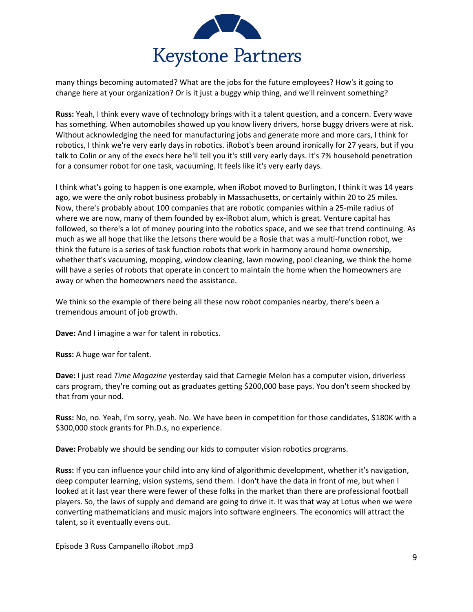

many things becoming automated? What are the jobs for the future employees? How's it going to change here at your organization? Or is it just a buggy whip thing, and we'll reinvent something?

**Russ:** Yeah, I think every wave of technology brings with it a talent question, and a concern. Every wave has something. When automobiles showed up you know livery drivers, horse buggy drivers were at risk. Without acknowledging the need for manufacturing jobs and generate more and more cars, I think for robotics, I think we're very early days in robotics. iRobot's been around ironically for 27 years, but if you talk to Colin or any of the execs here he'll tell you it's still very early days. It's 7% household penetration for a consumer robot for one task, vacuuming. It feels like it's very early days.

I think what's going to happen is one example, when iRobot moved to Burlington, I think it was 14 years ago, we were the only robot business probably in Massachusetts, or certainly within 20 to 25 miles. Now, there's probably about 100 companies that are robotic companies within a 25-mile radius of where we are now, many of them founded by ex-iRobot alum, which is great. Venture capital has followed, so there's a lot of money pouring into the robotics space, and we see that trend continuing. As much as we all hope that like the Jetsons there would be a Rosie that was a multi-function robot, we think the future is a series of task function robots that work in harmony around home ownership, whether that's vacuuming, mopping, window cleaning, lawn mowing, pool cleaning, we think the home will have a series of robots that operate in concert to maintain the home when the homeowners are away or when the homeowners need the assistance.

We think so the example of there being all these now robot companies nearby, there's been a tremendous amount of job growth.

**Dave:** And I imagine a war for talent in robotics.

**Russ:** A huge war for talent.

**Dave:** I just read *Time Magazine* yesterday said that Carnegie Melon has a computer vision, driverless cars program, they're coming out as graduates getting \$200,000 base pays. You don't seem shocked by that from your nod.

**Russ:** No, no. Yeah, I'm sorry, yeah. No. We have been in competition for those candidates, \$180K with a \$300,000 stock grants for Ph.D.s, no experience.

**Dave:** Probably we should be sending our kids to computer vision robotics programs.

**Russ:** If you can influence your child into any kind of algorithmic development, whether it's navigation, deep computer learning, vision systems, send them. I don't have the data in front of me, but when I looked at it last year there were fewer of these folks in the market than there are professional football players. So, the laws of supply and demand are going to drive it. It was that way at Lotus when we were converting mathematicians and music majors into software engineers. The economics will attract the talent, so it eventually evens out.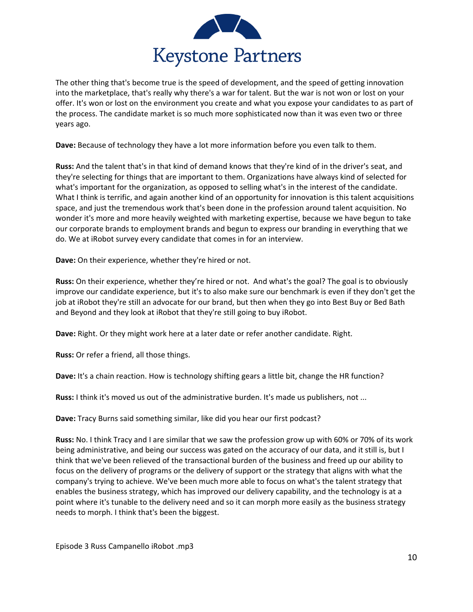

The other thing that's become true is the speed of development, and the speed of getting innovation into the marketplace, that's really why there's a war for talent. But the war is not won or lost on your offer. It's won or lost on the environment you create and what you expose your candidates to as part of the process. The candidate market is so much more sophisticated now than it was even two or three years ago.

**Dave:** Because of technology they have a lot more information before you even talk to them.

**Russ:** And the talent that's in that kind of demand knows that they're kind of in the driver's seat, and they're selecting for things that are important to them. Organizations have always kind of selected for what's important for the organization, as opposed to selling what's in the interest of the candidate. What I think is terrific, and again another kind of an opportunity for innovation is this talent acquisitions space, and just the tremendous work that's been done in the profession around talent acquisition. No wonder it's more and more heavily weighted with marketing expertise, because we have begun to take our corporate brands to employment brands and begun to express our branding in everything that we do. We at iRobot survey every candidate that comes in for an interview.

**Dave:** On their experience, whether they're hired or not.

**Russ:** On their experience, whether they're hired or not. And what's the goal? The goal is to obviously improve our candidate experience, but it's to also make sure our benchmark is even if they don't get the job at iRobot they're still an advocate for our brand, but then when they go into Best Buy or Bed Bath and Beyond and they look at iRobot that they're still going to buy iRobot.

**Dave:** Right. Or they might work here at a later date or refer another candidate. Right.

**Russ:** Or refer a friend, all those things.

**Dave:** It's a chain reaction. How is technology shifting gears a little bit, change the HR function?

**Russ:** I think it's moved us out of the administrative burden. It's made us publishers, not ...

**Dave:** Tracy Burns said something similar, like did you hear our first podcast?

**Russ:** No. I think Tracy and I are similar that we saw the profession grow up with 60% or 70% of its work being administrative, and being our success was gated on the accuracy of our data, and it still is, but I think that we've been relieved of the transactional burden of the business and freed up our ability to focus on the delivery of programs or the delivery of support or the strategy that aligns with what the company's trying to achieve. We've been much more able to focus on what's the talent strategy that enables the business strategy, which has improved our delivery capability, and the technology is at a point where it's tunable to the delivery need and so it can morph more easily as the business strategy needs to morph. I think that's been the biggest.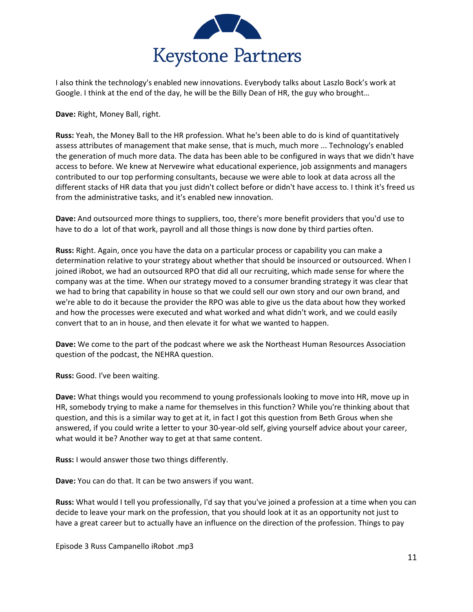

I also think the technology's enabled new innovations. Everybody talks about Laszlo Bock's work at Google. I think at the end of the day, he will be the Billy Dean of HR, the guy who brought…

**Dave:** Right, Money Ball, right.

**Russ:** Yeah, the Money Ball to the HR profession. What he's been able to do is kind of quantitatively assess attributes of management that make sense, that is much, much more ... Technology's enabled the generation of much more data. The data has been able to be configured in ways that we didn't have access to before. We knew at Nervewire what educational experience, job assignments and managers contributed to our top performing consultants, because we were able to look at data across all the different stacks of HR data that you just didn't collect before or didn't have access to. I think it's freed us from the administrative tasks, and it's enabled new innovation.

**Dave:** And outsourced more things to suppliers, too, there's more benefit providers that you'd use to have to do a lot of that work, payroll and all those things is now done by third parties often.

**Russ:** Right. Again, once you have the data on a particular process or capability you can make a determination relative to your strategy about whether that should be insourced or outsourced. When I joined iRobot, we had an outsourced RPO that did all our recruiting, which made sense for where the company was at the time. When our strategy moved to a consumer branding strategy it was clear that we had to bring that capability in house so that we could sell our own story and our own brand, and we're able to do it because the provider the RPO was able to give us the data about how they worked and how the processes were executed and what worked and what didn't work, and we could easily convert that to an in house, and then elevate it for what we wanted to happen.

**Dave:** We come to the part of the podcast where we ask the Northeast Human Resources Association question of the podcast, the NEHRA question.

**Russ:** Good. I've been waiting.

**Dave:** What things would you recommend to young professionals looking to move into HR, move up in HR, somebody trying to make a name for themselves in this function? While you're thinking about that question, and this is a similar way to get at it, in fact I got this question from Beth Grous when she answered, if you could write a letter to your 30-year-old self, giving yourself advice about your career, what would it be? Another way to get at that same content.

**Russ:** I would answer those two things differently.

**Dave:** You can do that. It can be two answers if you want.

**Russ:** What would I tell you professionally, I'd say that you've joined a profession at a time when you can decide to leave your mark on the profession, that you should look at it as an opportunity not just to have a great career but to actually have an influence on the direction of the profession. Things to pay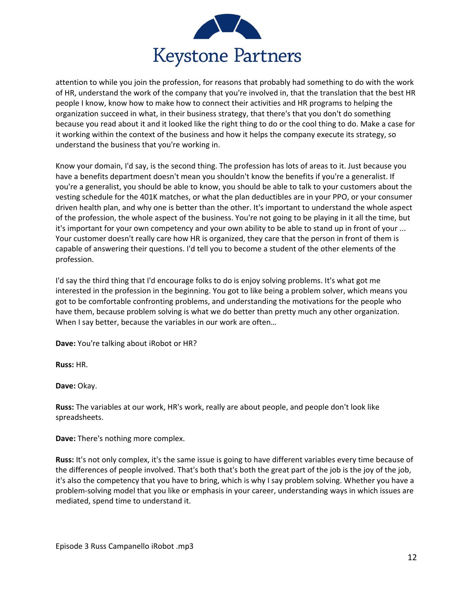

attention to while you join the profession, for reasons that probably had something to do with the work of HR, understand the work of the company that you're involved in, that the translation that the best HR people I know, know how to make how to connect their activities and HR programs to helping the organization succeed in what, in their business strategy, that there's that you don't do something because you read about it and it looked like the right thing to do or the cool thing to do. Make a case for it working within the context of the business and how it helps the company execute its strategy, so understand the business that you're working in.

Know your domain, I'd say, is the second thing. The profession has lots of areas to it. Just because you have a benefits department doesn't mean you shouldn't know the benefits if you're a generalist. If you're a generalist, you should be able to know, you should be able to talk to your customers about the vesting schedule for the 401K matches, or what the plan deductibles are in your PPO, or your consumer driven health plan, and why one is better than the other. It's important to understand the whole aspect of the profession, the whole aspect of the business. You're not going to be playing in it all the time, but it's important for your own competency and your own ability to be able to stand up in front of your ... Your customer doesn't really care how HR is organized, they care that the person in front of them is capable of answering their questions. I'd tell you to become a student of the other elements of the profession.

I'd say the third thing that I'd encourage folks to do is enjoy solving problems. It's what got me interested in the profession in the beginning. You got to like being a problem solver, which means you got to be comfortable confronting problems, and understanding the motivations for the people who have them, because problem solving is what we do better than pretty much any other organization. When I say better, because the variables in our work are often...

**Dave:** You're talking about iRobot or HR?

**Russ:** HR.

**Dave:** Okay.

**Russ:** The variables at our work, HR's work, really are about people, and people don't look like spreadsheets.

**Dave:** There's nothing more complex.

**Russ:** It's not only complex, it's the same issue is going to have different variables every time because of the differences of people involved. That's both that's both the great part of the job is the joy of the job, it's also the competency that you have to bring, which is why I say problem solving. Whether you have a problem-solving model that you like or emphasis in your career, understanding ways in which issues are mediated, spend time to understand it.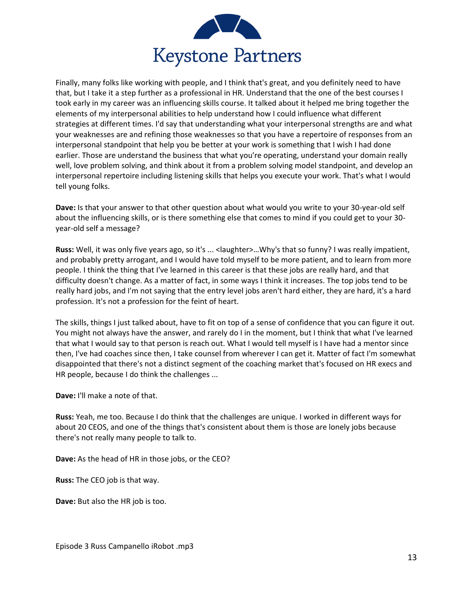

Finally, many folks like working with people, and I think that's great, and you definitely need to have that, but I take it a step further as a professional in HR. Understand that the one of the best courses I took early in my career was an influencing skills course. It talked about it helped me bring together the elements of my interpersonal abilities to help understand how I could influence what different strategies at different times. I'd say that understanding what your interpersonal strengths are and what your weaknesses are and refining those weaknesses so that you have a repertoire of responses from an interpersonal standpoint that help you be better at your work is something that I wish I had done earlier. Those are understand the business that what you're operating, understand your domain really well, love problem solving, and think about it from a problem solving model standpoint, and develop an interpersonal repertoire including listening skills that helps you execute your work. That's what I would tell young folks.

**Dave:** Is that your answer to that other question about what would you write to your 30-year-old self about the influencing skills, or is there something else that comes to mind if you could get to your 30 year-old self a message?

**Russ:** Well, it was only five years ago, so it's ... <laughter>…Why's that so funny? I was really impatient, and probably pretty arrogant, and I would have told myself to be more patient, and to learn from more people. I think the thing that I've learned in this career is that these jobs are really hard, and that difficulty doesn't change. As a matter of fact, in some ways I think it increases. The top jobs tend to be really hard jobs, and I'm not saying that the entry level jobs aren't hard either, they are hard, it's a hard profession. It's not a profession for the feint of heart.

The skills, things I just talked about, have to fit on top of a sense of confidence that you can figure it out. You might not always have the answer, and rarely do I in the moment, but I think that what I've learned that what I would say to that person is reach out. What I would tell myself is I have had a mentor since then, I've had coaches since then, I take counsel from wherever I can get it. Matter of fact I'm somewhat disappointed that there's not a distinct segment of the coaching market that's focused on HR execs and HR people, because I do think the challenges ...

**Dave:** I'll make a note of that.

**Russ:** Yeah, me too. Because I do think that the challenges are unique. I worked in different ways for about 20 CEOS, and one of the things that's consistent about them is those are lonely jobs because there's not really many people to talk to.

**Dave:** As the head of HR in those jobs, or the CEO?

**Russ:** The CEO job is that way.

**Dave:** But also the HR job is too.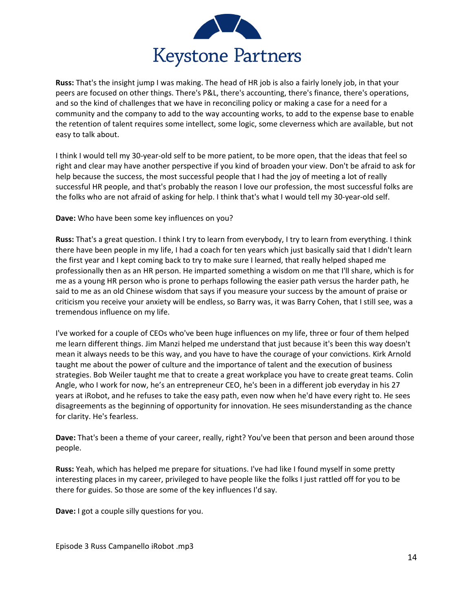

**Russ:** That's the insight jump I was making. The head of HR job is also a fairly lonely job, in that your peers are focused on other things. There's P&L, there's accounting, there's finance, there's operations, and so the kind of challenges that we have in reconciling policy or making a case for a need for a community and the company to add to the way accounting works, to add to the expense base to enable the retention of talent requires some intellect, some logic, some cleverness which are available, but not easy to talk about.

I think I would tell my 30-year-old self to be more patient, to be more open, that the ideas that feel so right and clear may have another perspective if you kind of broaden your view. Don't be afraid to ask for help because the success, the most successful people that I had the joy of meeting a lot of really successful HR people, and that's probably the reason I love our profession, the most successful folks are the folks who are not afraid of asking for help. I think that's what I would tell my 30-year-old self.

**Dave:** Who have been some key influences on you?

**Russ:** That's a great question. I think I try to learn from everybody, I try to learn from everything. I think there have been people in my life, I had a coach for ten years which just basically said that I didn't learn the first year and I kept coming back to try to make sure I learned, that really helped shaped me professionally then as an HR person. He imparted something a wisdom on me that I'll share, which is for me as a young HR person who is prone to perhaps following the easier path versus the harder path, he said to me as an old Chinese wisdom that says if you measure your success by the amount of praise or criticism you receive your anxiety will be endless, so Barry was, it was Barry Cohen, that I still see, was a tremendous influence on my life.

I've worked for a couple of CEOs who've been huge influences on my life, three or four of them helped me learn different things. Jim Manzi helped me understand that just because it's been this way doesn't mean it always needs to be this way, and you have to have the courage of your convictions. Kirk Arnold taught me about the power of culture and the importance of talent and the execution of business strategies. Bob Weiler taught me that to create a great workplace you have to create great teams. Colin Angle, who I work for now, he's an entrepreneur CEO, he's been in a different job everyday in his 27 years at iRobot, and he refuses to take the easy path, even now when he'd have every right to. He sees disagreements as the beginning of opportunity for innovation. He sees misunderstanding as the chance for clarity. He's fearless.

**Dave:** That's been a theme of your career, really, right? You've been that person and been around those people.

**Russ:** Yeah, which has helped me prepare for situations. I've had like I found myself in some pretty interesting places in my career, privileged to have people like the folks I just rattled off for you to be there for guides. So those are some of the key influences I'd say.

**Dave:** I got a couple silly questions for you.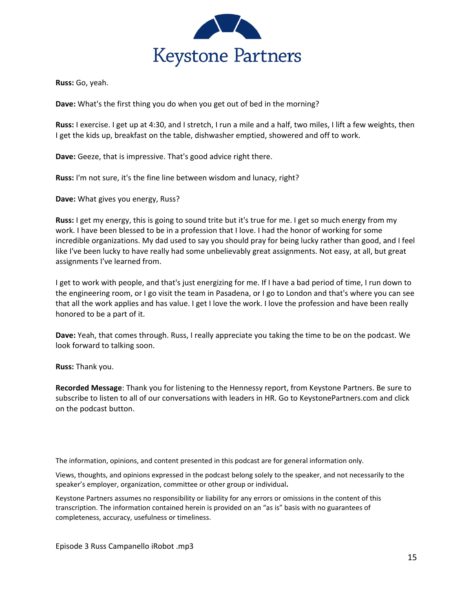

**Russ:** Go, yeah.

**Dave:** What's the first thing you do when you get out of bed in the morning?

**Russ:** I exercise. I get up at 4:30, and I stretch, I run a mile and a half, two miles, I lift a few weights, then I get the kids up, breakfast on the table, dishwasher emptied, showered and off to work.

**Dave:** Geeze, that is impressive. That's good advice right there.

**Russ:** I'm not sure, it's the fine line between wisdom and lunacy, right?

**Dave:** What gives you energy, Russ?

**Russ:** I get my energy, this is going to sound trite but it's true for me. I get so much energy from my work. I have been blessed to be in a profession that I love. I had the honor of working for some incredible organizations. My dad used to say you should pray for being lucky rather than good, and I feel like I've been lucky to have really had some unbelievably great assignments. Not easy, at all, but great assignments I've learned from.

I get to work with people, and that's just energizing for me. If I have a bad period of time, I run down to the engineering room, or I go visit the team in Pasadena, or I go to London and that's where you can see that all the work applies and has value. I get I love the work. I love the profession and have been really honored to be a part of it.

**Dave:** Yeah, that comes through. Russ, I really appreciate you taking the time to be on the podcast. We look forward to talking soon.

**Russ:** Thank you.

**Recorded Message**: Thank you for listening to the Hennessy report, from Keystone Partners. Be sure to subscribe to listen to all of our conversations with leaders in HR. Go to KeystonePartners.com and click on the podcast button.

The information, opinions, and content presented in this podcast are for general information only.

Views, thoughts, and opinions expressed in the podcast belong solely to the speaker, and not necessarily to the speaker's employer, organization, committee or other group or individual**.** 

Keystone Partners assumes no responsibility or liability for any errors or omissions in the content of this transcription. The information contained herein is provided on an "as is" basis with no guarantees of completeness, accuracy, usefulness or timeliness.